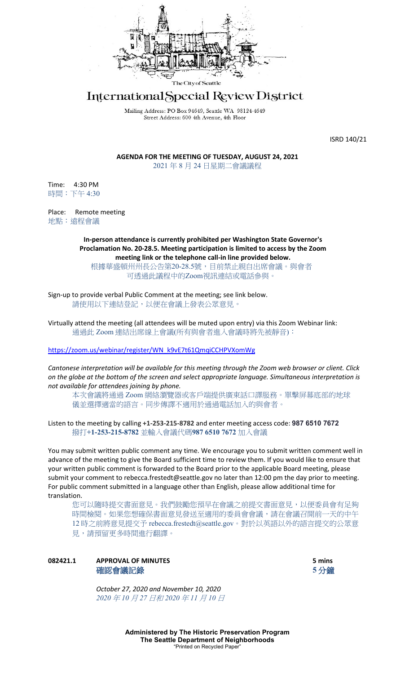

# International Special Review District

Mailing Address: PO Box 94649, Seattle WA 98124-4649 Street Address: 600 4th Avenue, 4th Floor

ISRD 140/21

**AGENDA FOR THE MEETING OF TUESDAY, AUGUST 24, 2021** 2021 年 8 月 24 日星期二會議議程

Time: 4:30 PM 時間:下午 4:30

Place: Remote meeting 地點:遠程會議

> **In-person attendance is currently prohibited per Washington State Governor's Proclamation No. 20-28.5. Meeting participation is limited to access by the Zoom meeting link or the telephone call-in line provided below.**

根據華盛頓州州長公告第20-28.5號,目前禁止親自出席會議。與會者 可透過此議程中的Zoom視訊連結或電話參與。

Sign-up to provide verbal Public Comment at the meeting; see link below. 請使用以下連結登記,以便在會議上發表公眾意見。

Virtually attend the meeting (all attendees will be muted upon entry) via this Zoom Webinar link: 通過此 Zoom 連結出席線上會議(所有與會者進入會議時將先被靜音):

[https://zoom.us/webinar/register/WN\\_k9vE7t61QmqiCCHPVXomWg](https://zoom.us/webinar/register/WN_k9vE7t61QmqiCCHPVXomWg)

*Cantonese interpretation will be available for this meeting through the Zoom web browser or client. Click on the globe at the bottom of the screen and select appropriate language. Simultaneous interpretation is not available for attendees joining by phone.*

本次會議將通過 Zoom 網絡瀏覽器或客戶端提供廣東話口譯服務。單擊屏幕底部的地球 儀並選擇適當的語言。同步傳譯不適用於通過電話加入的與會者。

Listen to the meeting by calling **+1-253-215-8782** and enter meeting access code: **987 6510 7672** 撥打**+1-253-215-8782** 並輸入會議代碼**987 6510 7672** 加入會議

You may submit written public comment any time. We encourage you to submit written comment well in advance of the meeting to give the Board sufficient time to review them. If you would like to ensure that your written public comment is forwarded to the Board prior to the applicable Board meeting, please submit your comment to rebecca.frestedt@seattle.gov no later than 12:00 pm the day prior to meeting. For public comment submitted in a language other than English, please allow additional time for translation.

您可以隨時提交書面意見。我們鼓勵您預早在會議之前提交書面意見,以便委員會有足夠 時間檢閱。如果您想確保書面意見發送至適用的委員會會議,請在會議召開前一天的中午 12 時之前將意見提交予 rebecca.frestedt@seattle.gov。對於以英語以外的語言提交的公眾意 見,請預留更多時間進行翻譯。

# **082421.1 APPROVAL OF MINUTES 5 mins** 確認會議記錄 **5** 分鐘

*October 27, 2020 and November 10, 2020 2020* 年 *10* 月 *27* 日和 *2020* 年 *11* 月 *10* 日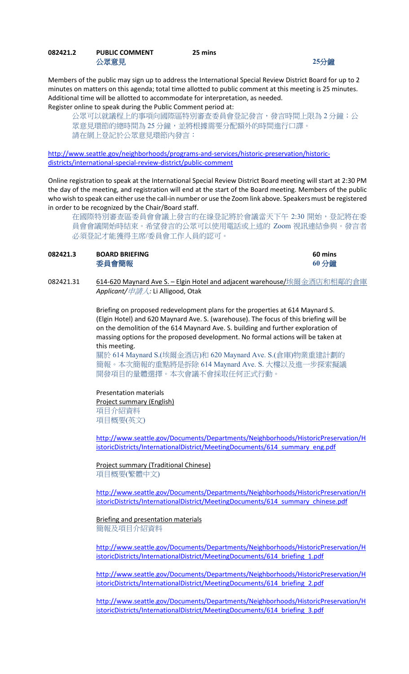## **082421.2 PUBLIC COMMENT 25 mins** 公眾意見 **25**分鐘

Members of the public may sign up to address the International Special Review District Board for up to 2 minutes on matters on this agenda; total time allotted to public comment at this meeting is 25 minutes. Additional time will be allotted to accommodate for interpretation, as needed. Register online to speak during the Public Comment period at:

公眾可以就議程上的事項向國際區特別審查委員會登記發言,發言時間上限為 2 分鐘;公 眾意見環節的總時間為 25 分鐘,並將根據需要分配額外的時間進行口譯。 請在網上登記於公眾意見環節內發言:

[http://www.seattle.gov/neighborhoods/programs-and-services/historic-preservation/historic](http://www.seattle.gov/neighborhoods/programs-and-services/historic-preservation/historic-districts/international-special-review-district/public-comment)[districts/international-special-review-district/public-comment](http://www.seattle.gov/neighborhoods/programs-and-services/historic-preservation/historic-districts/international-special-review-district/public-comment)

Online registration to speak at the International Special Review District Board meeting will start at 2:30 PM the day of the meeting, and registration will end at the start of the Board meeting. Members of the public who wish to speak can either use the call-in number or use the Zoom link above. Speakers must be registered in order to be recognized by the Chair/Board staff.

在國際特別審查區委員會會議上發言的在線登記將於會議當天下午 2:30 開始,登記將在委 員會會議開始時結束。希望發言的公眾可以使用電話或上述的 Zoom 視訊連結參與。發言者 必須登記才能獲得主席/委員會工作人員的認可。

| 082421.3 | <b>BOARD BRIEFING</b> | 60 mins |
|----------|-----------------------|---------|
|          | 委員會簡報                 | 60 分鐘   |

082421.31 614-620 Maynard Ave S. - Elgin Hotel and adjacent warehouse/埃爾金酒店和相鄰的倉庫 *Applicant/*申請人*:* Li Alligood, Otak

> Briefing on proposed redevelopment plans for the properties at 614 Maynard S. (Elgin Hotel) and 620 Maynard Ave. S. (warehouse). The focus of this briefing will be on the demolition of the 614 Maynard Ave. S. building and further exploration of massing options for the proposed development. No formal actions will be taken at this meeting.

> 關於 614 Maynard S.(埃爾金酒店)和 620 Maynard Ave. S.(倉庫)物業重建計劃的 簡報。本次簡報的重點將是拆除 614 Maynard Ave. S. 大樓以及進一步探索擬議 開發項目的量體選擇。本次會議不會採取任何正式行動。

### Presentation materials

Project summary (English) 項目介紹資料 項目概要(英文)

[http://www.seattle.gov/Documents/Departments/Neighborhoods/HistoricPreservation/H](http://www.seattle.gov/Documents/Departments/Neighborhoods/HistoricPreservation/HistoricDistricts/InternationalDistrict/MeetingDocuments/614_summary_eng.pdf) [istoricDistricts/InternationalDistrict/MeetingDocuments/614\\_summary\\_eng.pdf](http://www.seattle.gov/Documents/Departments/Neighborhoods/HistoricPreservation/HistoricDistricts/InternationalDistrict/MeetingDocuments/614_summary_eng.pdf)

Project summary (Traditional Chinese) 項目概要(繁體中文)

[http://www.seattle.gov/Documents/Departments/Neighborhoods/HistoricPreservation/H](http://www.seattle.gov/Documents/Departments/Neighborhoods/HistoricPreservation/HistoricDistricts/InternationalDistrict/MeetingDocuments/614_summary_chinese.pdf) [istoricDistricts/InternationalDistrict/MeetingDocuments/614\\_summary\\_chinese.pdf](http://www.seattle.gov/Documents/Departments/Neighborhoods/HistoricPreservation/HistoricDistricts/InternationalDistrict/MeetingDocuments/614_summary_chinese.pdf)

# **Briefing and presentation materials**

簡報及項目介紹資料

[http://www.seattle.gov/Documents/Departments/Neighborhoods/HistoricPreservation/H](http://www.seattle.gov/Documents/Departments/Neighborhoods/HistoricPreservation/HistoricDistricts/InternationalDistrict/MeetingDocuments/614_briefing_1.pdf) [istoricDistricts/InternationalDistrict/MeetingDocuments/614\\_briefing\\_1.pdf](http://www.seattle.gov/Documents/Departments/Neighborhoods/HistoricPreservation/HistoricDistricts/InternationalDistrict/MeetingDocuments/614_briefing_1.pdf)

[http://www.seattle.gov/Documents/Departments/Neighborhoods/HistoricPreservation/H](http://www.seattle.gov/Documents/Departments/Neighborhoods/HistoricPreservation/HistoricDistricts/InternationalDistrict/MeetingDocuments/614_briefing_2.pdf) [istoricDistricts/InternationalDistrict/MeetingDocuments/614\\_briefing\\_2.pdf](http://www.seattle.gov/Documents/Departments/Neighborhoods/HistoricPreservation/HistoricDistricts/InternationalDistrict/MeetingDocuments/614_briefing_2.pdf)

[http://www.seattle.gov/Documents/Departments/Neighborhoods/HistoricPreservation/H](http://www.seattle.gov/Documents/Departments/Neighborhoods/HistoricPreservation/HistoricDistricts/InternationalDistrict/MeetingDocuments/614_briefing_3.pdf) [istoricDistricts/InternationalDistrict/MeetingDocuments/614\\_briefing\\_3.pdf](http://www.seattle.gov/Documents/Departments/Neighborhoods/HistoricPreservation/HistoricDistricts/InternationalDistrict/MeetingDocuments/614_briefing_3.pdf)